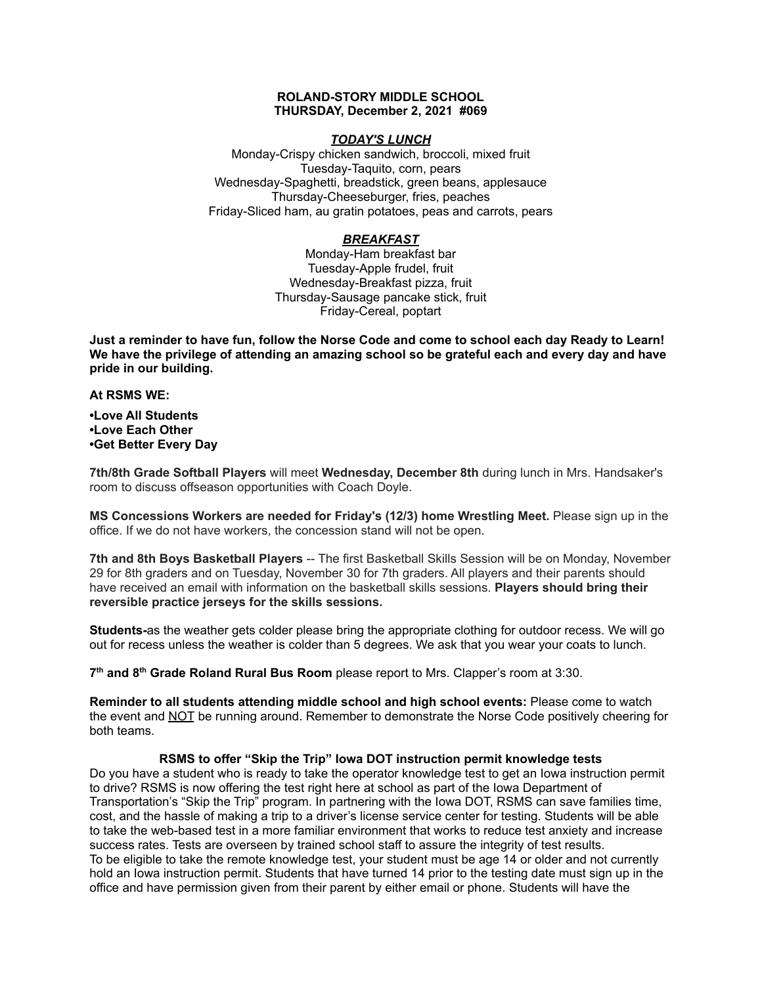#### **ROLAND-STORY MIDDLE SCHOOL THURSDAY, December 2, 2021 #069**

### *TODAY'S LUNCH*

Monday-Crispy chicken sandwich, broccoli, mixed fruit Tuesday-Taquito, corn, pears Wednesday-Spaghetti, breadstick, green beans, applesauce Thursday-Cheeseburger, fries, peaches Friday-Sliced ham, au gratin potatoes, peas and carrots, pears

# *BREAKFAST*

Monday-Ham breakfast bar Tuesday-Apple frudel, fruit Wednesday-Breakfast pizza, fruit Thursday-Sausage pancake stick, fruit Friday-Cereal, poptart

Just a reminder to have fun, follow the Norse Code and come to school each day Ready to Learn! **We have the privilege of attending an amazing school so be grateful each and every day and have pride in our building.**

#### **At RSMS WE:**

**•Love All Students •Love Each Other •Get Better Every Day**

**7th/8th Grade Softball Players** will meet **Wednesday, December 8th** during lunch in Mrs. Handsaker's room to discuss offseason opportunities with Coach Doyle.

**MS Concessions Workers are needed for Friday's (12/3) home Wrestling Meet.** Please sign up in the office. If we do not have workers, the concession stand will not be open.

**7th and 8th Boys Basketball Players** -- The first Basketball Skills Session will be on Monday, November 29 for 8th graders and on Tuesday, November 30 for 7th graders. All players and their parents should have received an email with information on the basketball skills sessions. **Players should bring their reversible practice jerseys for the skills sessions.**

**Students-**as the weather gets colder please bring the appropriate clothing for outdoor recess. We will go out for recess unless the weather is colder than 5 degrees. We ask that you wear your coats to lunch.

**7 th and 8 th Grade Roland Rural Bus Room** please report to Mrs. Clapper's room at 3:30.

**Reminder to all students attending middle school and high school events:** Please come to watch the event and NOT be running around. Remember to demonstrate the Norse Code positively cheering for both teams.

### **RSMS to offer "Skip the Trip" Iowa DOT instruction permit knowledge tests**

Do you have a student who is ready to take the operator knowledge test to get an Iowa instruction permit to drive? RSMS is now offering the test right here at school as part of the Iowa Department of Transportation's "Skip the Trip" program. In partnering with the Iowa DOT, RSMS can save families time, cost, and the hassle of making a trip to a driver's license service center for testing. Students will be able to take the web-based test in a more familiar environment that works to reduce test anxiety and increase success rates. Tests are overseen by trained school staff to assure the integrity of test results. To be eligible to take the remote knowledge test, your student must be age 14 or older and not currently hold an Iowa instruction permit. Students that have turned 14 prior to the testing date must sign up in the office and have permission given from their parent by either email or phone. Students will have the